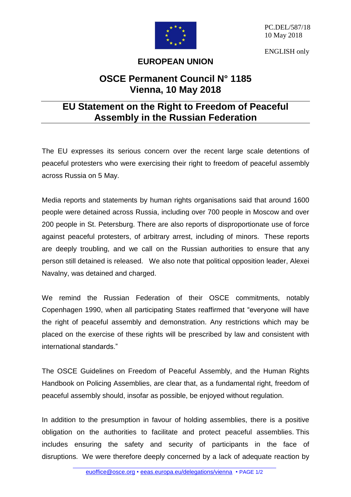

PC.DEL/587/18 10 May 2018

ENGLISH only

## **EUROPEAN UNION**

## **OSCE Permanent Council N° 1185 Vienna, 10 May 2018**

## **EU Statement on the Right to Freedom of Peaceful Assembly in the Russian Federation**

The EU expresses its serious concern over the recent large scale detentions of peaceful protesters who were exercising their right to freedom of peaceful assembly across Russia on 5 May.

Media reports and statements by human rights organisations said that around 1600 people were detained across Russia, including over 700 people in Moscow and over 200 people in St. Petersburg. There are also reports of disproportionate use of force against peaceful protesters, of arbitrary arrest, including of minors. These reports are deeply troubling, and we call on the Russian authorities to ensure that any person still detained is released. We also note that political opposition leader, Alexei Navalny, was detained and charged.

We remind the Russian Federation of their OSCE commitments, notably Copenhagen 1990, when all participating States reaffirmed that "everyone will have the right of peaceful assembly and demonstration. Any restrictions which may be placed on the exercise of these rights will be prescribed by law and consistent with international standards."

The OSCE Guidelines on Freedom of Peaceful Assembly, and the Human Rights Handbook on Policing Assemblies, are clear that, as a fundamental right, freedom of peaceful assembly should, insofar as possible, be enjoyed without regulation.

In addition to the presumption in favour of holding assemblies, there is a positive obligation on the authorities to facilitate and protect peaceful assemblies. This includes ensuring the safety and security of participants in the face of disruptions. We were therefore deeply concerned by a lack of adequate reaction by